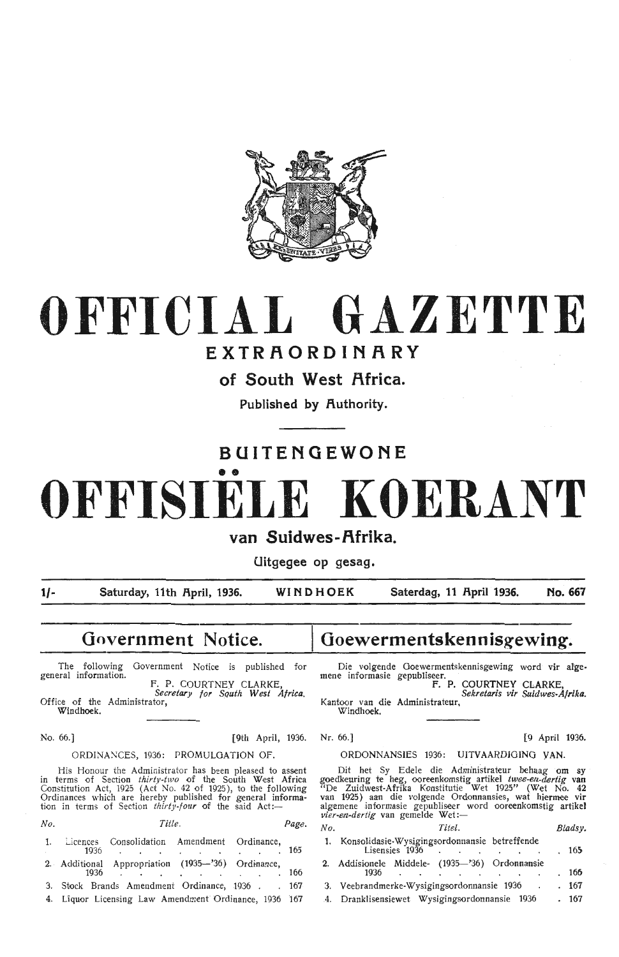

## **OFFICIAL GAZETTE**

## **EXTRAORDINARY**

**of South West Africa.** 

**Published by Authority.** 

## **BUITENQEWONE**

# •• **OFFISIELE KOERANT**

## **van Suidwes-Afrika.**

**Uitgegee op gesag.** 

**1/- Saturday, 11th f\pril, 1936. WINDHOEK Saterdag, 11 f\pril 1936. No. 667** 

## **Government Notice.**

The following Government Notice is published for general information. F. P. COURTNEY CLARKE,

*Secretary for Squth West Africa. Office of the Administrator,* Windhoek.

No. 66. ] [9th April, 1936.

#### ORDINANCES, 1936: PROMULGATION OF.

His Honour the Administrator has been pleased to assent terms of Section  $thirty-two$  of the South West Africa in terms of Section *thirtv-two* of the South West Africa Constitution Act, 1925 (Act No. 42 of 1925), to the following Ordinances which are hereby published for general informa- tion in terms of Section *thirty-four* of the said Act:-

*No. Title. Page.* 

| 1. Licences Consolidation Amendment Ordinance,        |  |            |  |     |
|-------------------------------------------------------|--|------------|--|-----|
|                                                       |  | 1936.      |  | 165 |
| 2. Additional Appropriation (1935-'36) Ordinance,     |  |            |  |     |
|                                                       |  | $1936$ 166 |  |     |
| 3. Stock Brands Amendment Ordinance, 1936 167         |  |            |  |     |
| 4. Liquor Licensing Law Amendment Ordinance, 1936 167 |  |            |  |     |

## **Goewermentskennisgewing~**

Die volgende Goewermentskennisgewing word vir afge-<br>mene informasie gepubliseer.

F. P. COURTNEY CLARKE,<br>F. P. COURTNEY CLARKE,<br>Kantoor van die Administrateur,<br>Windhoek.

Nr. 66.] [9 April 1936.

#### ORDONNANSIES 1936: UITVAARDIGING VAN.

Dit het Sy Edele die Administrateur behaag om sy goedkeuring te heg, ooreenkomstig artikel *twee-en.-dertig* van "De Zuidwest-Afrika Konstitutie Wet 1925" (Wet No. 42 van 1925) aan die volgende Ordonnansies, wat hiermee vir algemene informasie gepubliseer word ooreenkomstig artikel<br>*vier~en-dertig* van gemelde Wet:—

| No. |                                                                 |                                                                                                                 | Titel. |  |  |        | Bladsy. |
|-----|-----------------------------------------------------------------|-----------------------------------------------------------------------------------------------------------------|--------|--|--|--------|---------|
| 1.  | Konsolidasie Wysigingsordonnansie betreffende<br>Lisensies 1936 |                                                                                                                 |        |  |  |        | , 165   |
|     | 2. Addisionele Middele- (1935-'36) Ordonnansie<br>1936          | the contract of the contract of the contract of the contract of the contract of the contract of the contract of |        |  |  |        | . 166   |
|     | 3. Veebrandmerke-Wysigingsordonnansie 1936                      |                                                                                                                 |        |  |  | $\sim$ | . 167   |
| 4.  | Dranklisensiewet Wysigingsordonnansie 1936                      |                                                                                                                 |        |  |  |        | . 167   |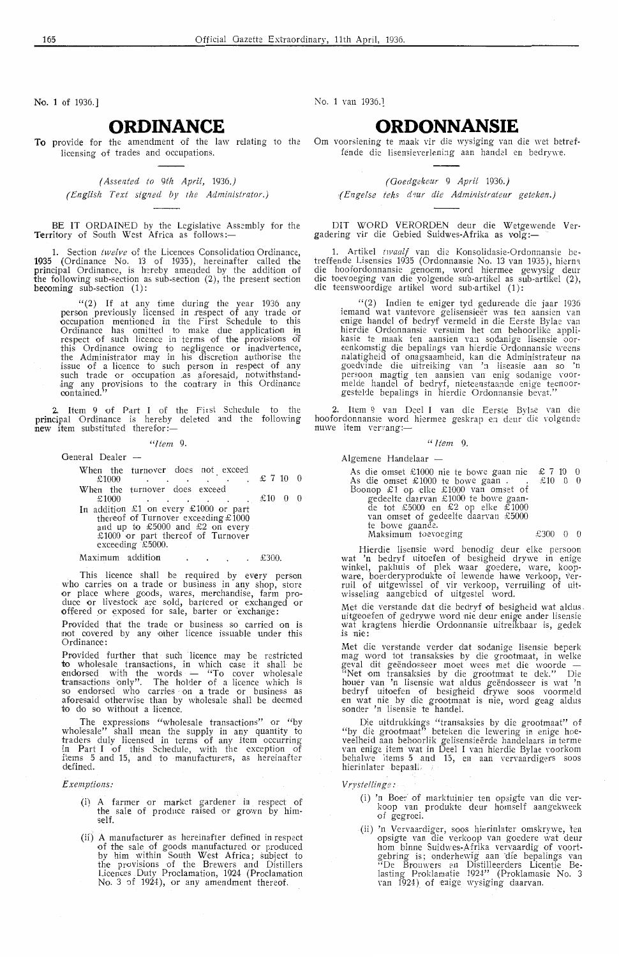No. 1 of 1936.]

#### **ORDINANCE**

**To** provide for the amendment of the law relating to the licensing of trades and occupations.

> *( Assented to 9th April,* 1936.) *(English Text signed by the Administrator.)*

BE IT ORDAINED by the Legislative Assembly for the Territory of South West Africa as follows:-

Section *twelve* of the Licences Consolidation Ordinance, 1935 ( Ordinance No. 13 of 1935), hereinafter called the principal Ordinance, is hereby amended by the addition of the following sub-section as sub-section (2), the present section becoming sub-section (1):

> "(2) If at any time during the year 1936 any person previously licensed in respect of any trade or occupation mentioned in the First Schedule to this Ordinance has omitted to make due application in respect of such licence in terms of the provisions of this Ordinance owing to negligence or inadvertence, the Administrator may in his discretion authorise the issue of a licence to such person in respect of any such trade or occupation ,as \_aforesaid, notwithstand ing any provisions to the contrary in this Ordinance contained."

2. Item 9 of Part I of the First Schedule to the principal Ordinance is hereby deleted and the following **new** item substituted therefor:—

" *Item* 9.

General Dealer -

|       | When the turnover does not exceed |  |  |  |                |  |
|-------|-----------------------------------|--|--|--|----------------|--|
| £1000 |                                   |  |  |  | $\pounds 7100$ |  |

When the turnover does exceed  $£1000$  $£1000$   $£1000$  0

In addition £1 on every  $£1000$  or part thereof of Turnover exceeding  $£1000$ and up to £5000 and £2 on every £1000 or part thereof of Turnover exceeding £5000.

Maximum addition . . . . £300.

This licence shall be required by every person who carries on a trade or business in any shop, store who carries on a trade or business in any shop, store or place where goods, wares, merchandise, farm produce or livestock are sold, bartered or exchanged or offered or exposed for sale, barter or exchange:

Provided that the trade or business so carried on is not covered by any other licence issuable under this **Ordinance** 

Provided further that such licence may be restricted to wholesale transactions, in which case it shall be endorsed with the words  $-$  "To cover wholesale transactions only". The holder of a licence which is so endorsed who carries · on a trade or business as aforesaid otherwise than by wholesale shall be deemed to do so without a licence.

The expressions "wholesale transactions" or "by<br>wholesale" shall mean the sunnly in any cuantifulation whoiesale" shall mean the supply in any quantity to traders duly lioensed in terms of any item occurring in Part I of this Schedule, with the exception of items 5 and 15, and to manufacturers, as hereinafter defined.

#### *Exemptions:*

- (i) A farmer or market gardener in resped of the sale of produce raised or grown by himself
- $(ii)$  A manufacturer as hereinafter defined in respect of the sale of goods manufactured or produced by him within South West Africa; subject to the provisions of the Brewers and Distillers Licences Duty Proclamation, 1924 (Proclamation No. 3 of 1924), or any amendment thereof.

No. 1 van 1936.]

#### **ORDONNANSIE**

Om voorsiening te maak vir die wysiging van die wet betreffende die lisensieverlening aan handel en bedrywe.

*(Ooedgekeur* 9 *April* 1936.) *,( Engefs.e teks cfrur die Admirzistralear geteken.)* 

DIT WORD VERORDEN deur die Wetgewende Vergadering vir die Gebied Suidwes-Afrika as volg:

1. Artikel *t1vaalf* van die Konsolidasie-Ordonnansie betreffende Lisensies 1935 (Ordonnansie No. 13 van 1935), hierna die hoofordonnansie genoem, word hiermee gewysig deur die toevoeging van die yolgende sub-artikel as sub-artikel (2), die teenswoordige artikel word sub-artikel (1):

"(2) Indien te eniger tyd gedurende die jaar 1936 iemand wat vanvevore gelisensieër was ten aansien van die eerste Bylae van enige handel of bedryf vermeld in die Eerste Bylae van hierdie Ordonnansie versuim het om behoorlike appli-<br>kasie te maak ten aansien van sodanige kasie te maak ten aansien van sodanige lisensie oor-<br>eenkomstig die bepalings van hierdie Ordonnansie weens nalatigheid of onagsaamheid, kan die Administrateur na<br>goedvinde die uitreiking van 'n lisensie aan so 'n persoon magtig ten aansien van enig sodanige voor-<br>melde handel of bedryf, nieteenstaande enige teenoor-<br>gestelde bepalings in hierdie Ordonnansie bevat."

2. Item 9 van Deel I van die Eerste Bylae van die hoofordonnansie word hiermee geskrap en deur die volgende nuwe item vervang:-

#### $\frac{1}{2}$

Algemene Handelaar -

As die omset £1000 nie te bowe gaan nie<br>As die omset £1000 te bowe gaan .<br>Boonop £1 op elke £1000 van omset of gedeelte daarvan £ 1000 te bowe gaande tot £5000 en £2 op e!ke £1000 van omset of gedeelte daarvan £5000 te bowe gaande. Maksimum toevoeging £ 7 10 0 £10 0 0 £300 0 0

Hierdie lisensie word benodig deur elke persoon wat 'n bedryf uitoefen of besigheid drywe in enige winkel, pakhuis of plek waar goedere, ware, koopware, boerderyprodukte of lewende hawe verkoop, ver- ruil of uitgewissel of vir verkoop, verruiling of uit-<br>wisseling aangebied of uitgestel word.

Met die verstande dat die bedryf of besigheid wat aldus . uitgeoefen of gedrywe word nie deur enige ander lisensie wat kragtens hierdie Ordonnansie uitreikbaar is, gedek is nie

Met die verstande verder dat sodanige lisensie beperk mag word tot transaksies by die grootmaat, in welke geval dit geëndosseer moet wees met die woorde --<br>"Net om transaksies by die grootmaat te dek." Die houer van 'n lisensie wat aldus geendosseer is wat 'n bedryf uitoefen of besigheid drywe soos voormeld en wat nie by die grootmaat is nie, word geag aldus sonder 'n lisensie te handel.

Die uitdrukkings "transaksies by die grootmaat" of "by die grootmaat" beteken die lewering in enige hoe-veelheid aan behoorlik gelisensieërde handelaars in terme van enige item wat in Deel I van hierdie Bylae voorkom behalwe items 5 and 15, en aan vervaardigers soos hierinlater bepaall

*V ryste! tinge:* 

- (i) 'n Boer of marktuinier ten opsigte van die ver-<br>koop van produkte deur homself aangekweek of gegroei
- (ii) 'n Vervaardiger, soos hierinlater omskrywe, ten opsigte van die verkoop van goedere wat deur hom binne Suidwes-Afrika vervaardig of voort gebring is; onderhewig aan 'die bepalings van "De Brouwers en Distilleerders Licentie Belasting Proklamatie 1924" (Proklamasie No. 3 van 1924)\_ of enige wysiging daarvan.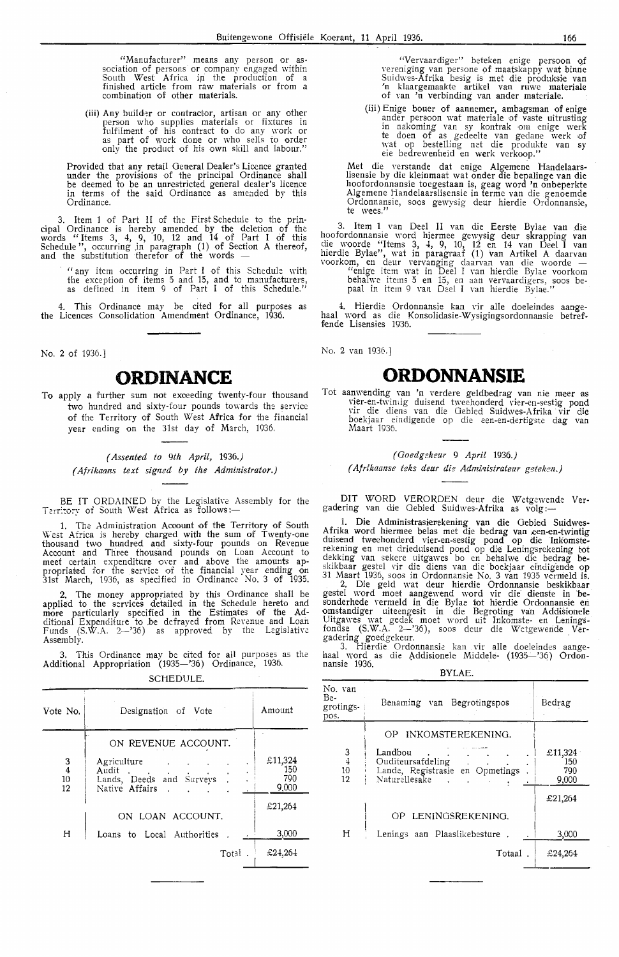"Manufacturer" means any person or as• sociation of persons or company engaged within South West Africa in the production of a finished article from **raw** materials or from a **combination of other materials.** 

(iii) Any builder or contractor, artisan or any other person who supplies materials or fixtures in fulfilment of his contract to do any work or<br>as part of work done or who sells to order only the product of his own skill and labour."

Provided that any retail General Dealer's Licence granted under the provisions of the principal Ordinance shall be deemed to be an unrestricted general dealer's licence in terms of the said Ordinance as amended by this Ordinance. ·

3. Item 1 of Part II of the First Schedule to the principal Ordinance is hereby amended by the deletion of the words " Items 3, 4, 9, 10, 12 and 14 of Part I of this Schedule", occurring in paragraph (1) of Section A thereof, and the substitution therefor of the words -

" any item occurring in Part I of this Schedule with the exception of items 5 and 15, and to manufacturers, as defined in item 9 of Part I of this Schedule."

4. This Ordinance may be cited for all purposes as **the** Licences Consolidation Amendment Ordinance, 1936.

No. 2 of 1936.]

## **ORDINANCE**

**To** apply a further sum not exoeeding twenty-four thousand two hundred and sixty-four pounds towards the service of the Territory of South West Africa for the financial year ending on the 31st day of March, 1936.

#### *( Assented to 9th April,* 1936.) *( Afrikaa,ns text signed* by *the Administrator.)*

BE IT ORDAINED by the Legislative Assembly for the Territory of South West Africa as follows:-

1. The Administration Account of the Territory of South West Africa is hereby charged with the sum of Twenty-one thousand two hundred and sixty-four pounds on Revenue Account and Three thousand pounds on Loan Account to meet certain expenditure over and above the amounts appropriated for the service of the financial year ending on 31st March, 1936, as specified in Ordinance No. 3 of 1935.

2. The money appropriated by this Ordinance shall be applied to the services detailed in the Schedule hereto and mope particularly specified in the Estimates of the Additional Expenditure to .be defrayed from Re\·enue and Loan Funds (S.W.A. 2-'36) as approved by the Legislative Assembly.

3. This Ordinance may be cited for all purposes as the Additional Appropriation (1935-'36) Ordinance, 1936.

SCHEDULE.

| Vote No.                  | Designation of Vote                                                                                    | Amount                         |
|---------------------------|--------------------------------------------------------------------------------------------------------|--------------------------------|
| $\frac{3}{4}$<br>10<br>12 | ON REVENUE ACCOUNT.<br>Agriculture<br>Audit<br>Lands, Deeds and Surveys<br>$\bullet$<br>Native Affairs | £11,324<br>150<br>790<br>9,000 |
|                           | ON LOAN ACCOUNT.                                                                                       | £21,264                        |
| H                         | Loans to Local Authorities                                                                             | 3,000                          |
|                           | Total.                                                                                                 | £24,264                        |

"Vervaardiger" beteken enige persoon of vereniging van persone of maatskappy wat binne Suidwes-Afrika besig is met die produksie van<br>'n klaargemaakte artikel van ruwe materiale of van 'n verbinding van ander materiale.

(iii) Enige bouer of aannemer, ambagsman of enige ander persoon wat materiale of vaste uitrusting in nakoming van sy kontrak om enige werk<br>te doen of as gedeelte van gedane werk of \mt op bestelling net die produkte van sy eie bedrewenheid en werk verkoop."

Met die verstande dat enige Algemene Handelaarslisensie by die kleinmaat wat onder die bepalinge van die hoofordonnansie toegestaan is, geag word 'n onbeperkte Algemene Handelaarslisensie in terme van die genoemde Ordonnansie, soos gewysig deur hierdie Ordonnansie, te wees."

3. Item 1 van Deel II van die Eerste Bylae van die h?ofordonnansie word hiermee gewysig deur skrapping van die woorde "Items 3, 4, 9, 10, 12 en 14 van Deel I van hierdie Bylae", wat in paragraaf (1) van Artikel A daarvan voorkom, en deur vervanging daarvan van die woorde - "enige item wat in Deel I van hierdie Bylae voorkom behalwe items 5 en 15, en aan vervaardigers, soos be-<br>paal in item 9 van Deel I van hierdie Bylae.''

4. Hierdie Ordonnansie kan vir alle doeleindes aangehaal word as die Konsolidasie-Wysigingsordonnansie betreffende Lisensies 1936.

No. 2 van 1936.]

## **ORDONNANSIE**

Tot aanwending van 'n verdere geldbedrag van nie meer as vier-en-twinnig duisend tweehonderd vier-en-sestig pond<br>vir die diens van die Gebied Suidwes-Afrika vir die boekjaar eindigende op die een-en-dertigste dag van<br>Maart 1936.

#### *(Ooedgik eur* 9 *April* 1936.) *(Afrikaanse teks deur die Administrateur geteken.)*

DIT WORD VERORDEN deur die Wetgewende Ver-<br>gadering van die Gebied Suidwes-Afrika as volg :---

1. Die Administrasierekening van die Gebied Suidwes-Afrika word hiermee belas met die bedrag van een-en-twintig duisend tweehonderd vier-en-sestig pond op die Inkomste-<br>rekening en met drieduisend pond op die Leningsrekening tot dekking van sekere uitgawes bo en behalwe die bedrag beskikbaar gestel vir die diens van die boekjaar eindigende op 31 Maart 1936, soos in Ordonnansie No. 3 van 1935 vermeld is.

2. Die geld wat deur hierdie Ordonnansie beskikbaar gestel word moet aangewend word vir die dienste in besonderhede vermeld in die Bylae tot hierdie Ordonnansie en omstandiger uiteengesit in die Begroting van Addisionele Uitgawes wat gedek moet word uit Inkomste- en Lenings-<br>fondse (S.W.A. 2—'36), soos deur die Wetgewende Ver-<br>gadering goedgekeur.

3. Hierdie Ordonnansie kan vir alle doeleindes aange-<br>haal word as die Addisionele Middele- (1935—'36) Ordon-<br>nansie 1936.

BYLAE.

| No. van<br>Be-<br>grotings-<br>pos. | Benaming van Begrotingspos                                                                                  | Bedrag                                    |
|-------------------------------------|-------------------------------------------------------------------------------------------------------------|-------------------------------------------|
| $\frac{3}{4}$<br>10<br>12           | INKOMSTEREKENING.<br>OΡ<br>Landbou<br>Ouditeursafdeling<br>Lande, Registrasie en Opmetings<br>Naturellesake | £11,324<br>150<br>790<br>9,000<br>£21,264 |
| Н                                   | LENINGSREKENING.<br>OP<br>Lenings aan Plaaslikebesture<br>Totaal.                                           | 3,000<br>£24,264                          |